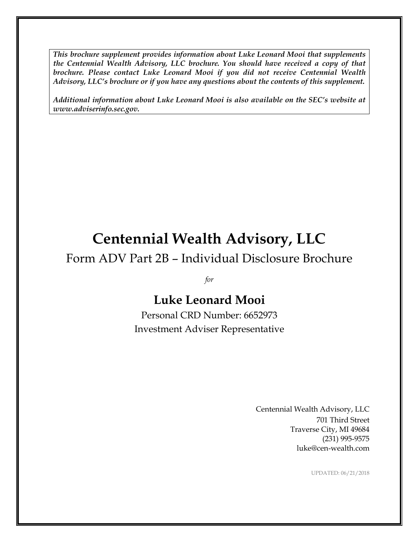*This brochure supplement provides information about Luke Leonard Mooi that supplements the Centennial Wealth Advisory, LLC brochure. You should have received a copy of that brochure. Please contact Luke Leonard Mooi if you did not receive Centennial Wealth Advisory, LLC's brochure or if you have any questions about the contents of this supplement.*

*Additional information about Luke Leonard Mooi is also available on the SEC's website at www.adviserinfo.sec.gov.*

# **Centennial Wealth Advisory, LLC**

## Form ADV Part 2B – Individual Disclosure Brochure

*for*

## **Luke Leonard Mooi**

Personal CRD Number: 6652973 Investment Adviser Representative

> Centennial Wealth Advisory, LLC 701 Third Street Traverse City, MI 49684 (231) 995-9575 luke@cen-wealth.com

> > UPDATED: 06/21/2018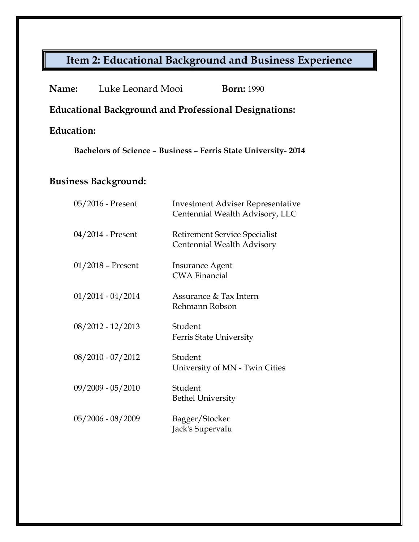# **Item 2: Educational Background and Business Experience**

| <b>Name:</b>                                                          | Luke Leonard Mooi   | <b>Born: 1990</b>                                                           |
|-----------------------------------------------------------------------|---------------------|-----------------------------------------------------------------------------|
| <b>Educational Background and Professional Designations:</b>          |                     |                                                                             |
| <b>Education:</b>                                                     |                     |                                                                             |
| <b>Bachelors of Science - Business - Ferris State University-2014</b> |                     |                                                                             |
| <b>Business Background:</b>                                           |                     |                                                                             |
|                                                                       | 05/2016 - Present   | <b>Investment Adviser Representative</b><br>Centennial Wealth Advisory, LLC |
|                                                                       | 04/2014 - Present   | <b>Retirement Service Specialist</b><br>Centennial Wealth Advisory          |
|                                                                       | $01/2018$ – Present | <b>Insurance Agent</b><br><b>CWA Financial</b>                              |
|                                                                       | $01/2014 - 04/2014$ | Assurance & Tax Intern<br>Rehmann Robson                                    |
|                                                                       | $08/2012 - 12/2013$ | Student<br><b>Ferris State University</b>                                   |
|                                                                       | $08/2010 - 07/2012$ | Student<br>University of MN - Twin Cities                                   |
|                                                                       | $09/2009 - 05/2010$ | Student<br><b>Bethel University</b>                                         |
|                                                                       | $05/2006 - 08/2009$ | Bagger/Stocker<br>Jack's Supervalu                                          |